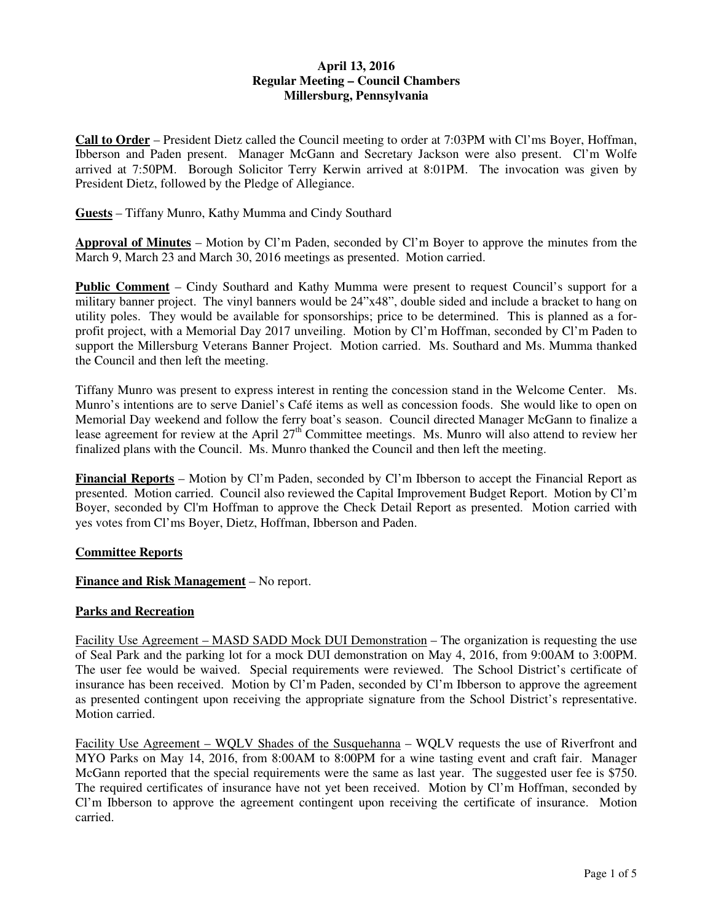#### **April 13, 2016 Regular Meeting – Council Chambers Millersburg, Pennsylvania**

**Call to Order** – President Dietz called the Council meeting to order at 7:03PM with Cl'ms Boyer, Hoffman, Ibberson and Paden present. Manager McGann and Secretary Jackson were also present. Cl'm Wolfe arrived at 7:50PM. Borough Solicitor Terry Kerwin arrived at 8:01PM. The invocation was given by President Dietz, followed by the Pledge of Allegiance.

**Guests** – Tiffany Munro, Kathy Mumma and Cindy Southard

**Approval of Minutes** – Motion by Cl'm Paden, seconded by Cl'm Boyer to approve the minutes from the March 9, March 23 and March 30, 2016 meetings as presented. Motion carried.

**Public Comment** – Cindy Southard and Kathy Mumma were present to request Council's support for a military banner project. The vinyl banners would be 24"x48", double sided and include a bracket to hang on utility poles. They would be available for sponsorships; price to be determined. This is planned as a forprofit project, with a Memorial Day 2017 unveiling. Motion by Cl'm Hoffman, seconded by Cl'm Paden to support the Millersburg Veterans Banner Project. Motion carried. Ms. Southard and Ms. Mumma thanked the Council and then left the meeting.

Tiffany Munro was present to express interest in renting the concession stand in the Welcome Center. Ms. Munro's intentions are to serve Daniel's Café items as well as concession foods. She would like to open on Memorial Day weekend and follow the ferry boat's season. Council directed Manager McGann to finalize a lease agreement for review at the April  $27<sup>th</sup>$  Committee meetings. Ms. Munro will also attend to review her finalized plans with the Council. Ms. Munro thanked the Council and then left the meeting.

**Financial Reports** – Motion by Cl'm Paden, seconded by Cl'm Ibberson to accept the Financial Report as presented. Motion carried. Council also reviewed the Capital Improvement Budget Report. Motion by Cl'm Boyer, seconded by Cl'm Hoffman to approve the Check Detail Report as presented. Motion carried with yes votes from Cl'ms Boyer, Dietz, Hoffman, Ibberson and Paden.

#### **Committee Reports**

## **Finance and Risk Management** – No report.

#### **Parks and Recreation**

Facility Use Agreement – MASD SADD Mock DUI Demonstration – The organization is requesting the use of Seal Park and the parking lot for a mock DUI demonstration on May 4, 2016, from 9:00AM to 3:00PM. The user fee would be waived. Special requirements were reviewed. The School District's certificate of insurance has been received. Motion by Cl'm Paden, seconded by Cl'm Ibberson to approve the agreement as presented contingent upon receiving the appropriate signature from the School District's representative. Motion carried.

Facility Use Agreement – WQLV Shades of the Susquehanna – WQLV requests the use of Riverfront and MYO Parks on May 14, 2016, from 8:00AM to 8:00PM for a wine tasting event and craft fair. Manager McGann reported that the special requirements were the same as last year. The suggested user fee is \$750. The required certificates of insurance have not yet been received. Motion by Cl'm Hoffman, seconded by Cl'm Ibberson to approve the agreement contingent upon receiving the certificate of insurance. Motion carried.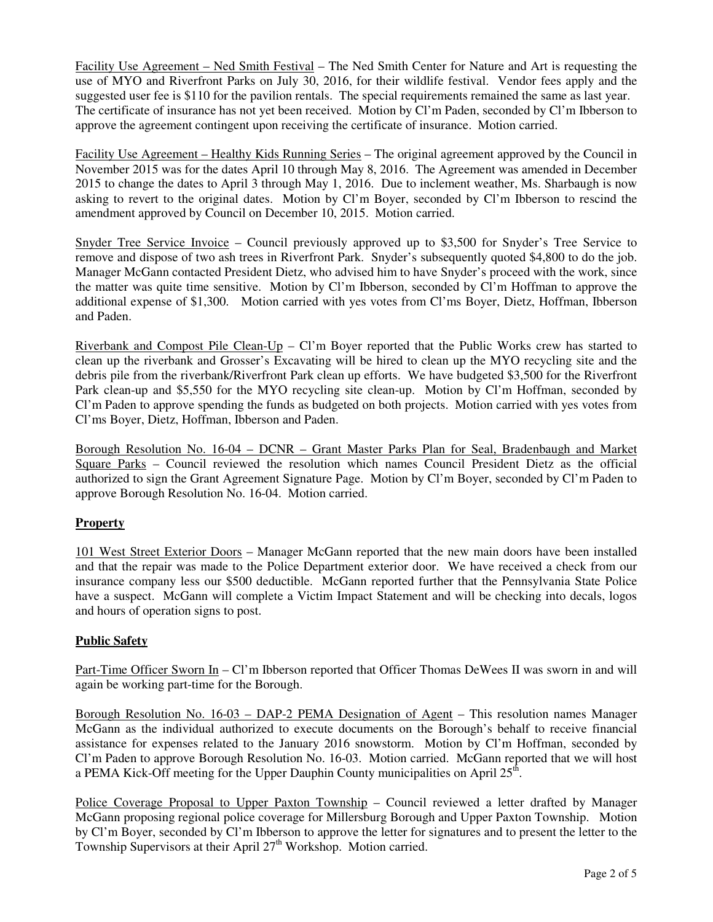Facility Use Agreement – Ned Smith Festival – The Ned Smith Center for Nature and Art is requesting the use of MYO and Riverfront Parks on July 30, 2016, for their wildlife festival. Vendor fees apply and the suggested user fee is \$110 for the pavilion rentals. The special requirements remained the same as last year. The certificate of insurance has not yet been received. Motion by Cl'm Paden, seconded by Cl'm Ibberson to approve the agreement contingent upon receiving the certificate of insurance. Motion carried.

Facility Use Agreement – Healthy Kids Running Series – The original agreement approved by the Council in November 2015 was for the dates April 10 through May 8, 2016. The Agreement was amended in December 2015 to change the dates to April 3 through May 1, 2016. Due to inclement weather, Ms. Sharbaugh is now asking to revert to the original dates. Motion by Cl'm Boyer, seconded by Cl'm Ibberson to rescind the amendment approved by Council on December 10, 2015. Motion carried.

Snyder Tree Service Invoice – Council previously approved up to \$3,500 for Snyder's Tree Service to remove and dispose of two ash trees in Riverfront Park. Snyder's subsequently quoted \$4,800 to do the job. Manager McGann contacted President Dietz, who advised him to have Snyder's proceed with the work, since the matter was quite time sensitive. Motion by Cl'm Ibberson, seconded by Cl'm Hoffman to approve the additional expense of \$1,300. Motion carried with yes votes from Cl'ms Boyer, Dietz, Hoffman, Ibberson and Paden.

Riverbank and Compost Pile Clean-Up – Cl'm Boyer reported that the Public Works crew has started to clean up the riverbank and Grosser's Excavating will be hired to clean up the MYO recycling site and the debris pile from the riverbank/Riverfront Park clean up efforts. We have budgeted \$3,500 for the Riverfront Park clean-up and \$5,550 for the MYO recycling site clean-up. Motion by Cl'm Hoffman, seconded by Cl'm Paden to approve spending the funds as budgeted on both projects. Motion carried with yes votes from Cl'ms Boyer, Dietz, Hoffman, Ibberson and Paden.

Borough Resolution No. 16-04 – DCNR – Grant Master Parks Plan for Seal, Bradenbaugh and Market Square Parks – Council reviewed the resolution which names Council President Dietz as the official authorized to sign the Grant Agreement Signature Page. Motion by Cl'm Boyer, seconded by Cl'm Paden to approve Borough Resolution No. 16-04. Motion carried.

# **Property**

101 West Street Exterior Doors – Manager McGann reported that the new main doors have been installed and that the repair was made to the Police Department exterior door. We have received a check from our insurance company less our \$500 deductible. McGann reported further that the Pennsylvania State Police have a suspect. McGann will complete a Victim Impact Statement and will be checking into decals, logos and hours of operation signs to post.

#### **Public Safety**

Part-Time Officer Sworn In – Cl'm Ibberson reported that Officer Thomas DeWees II was sworn in and will again be working part-time for the Borough.

Borough Resolution No. 16-03 – DAP-2 PEMA Designation of Agent – This resolution names Manager McGann as the individual authorized to execute documents on the Borough's behalf to receive financial assistance for expenses related to the January 2016 snowstorm. Motion by Cl'm Hoffman, seconded by Cl'm Paden to approve Borough Resolution No. 16-03. Motion carried. McGann reported that we will host a PEMA Kick-Off meeting for the Upper Dauphin County municipalities on April  $25^{\overline{th}}$ .

Police Coverage Proposal to Upper Paxton Township - Council reviewed a letter drafted by Manager McGann proposing regional police coverage for Millersburg Borough and Upper Paxton Township. Motion by Cl'm Boyer, seconded by Cl'm Ibberson to approve the letter for signatures and to present the letter to the Township Supervisors at their April 27<sup>th</sup> Workshop. Motion carried.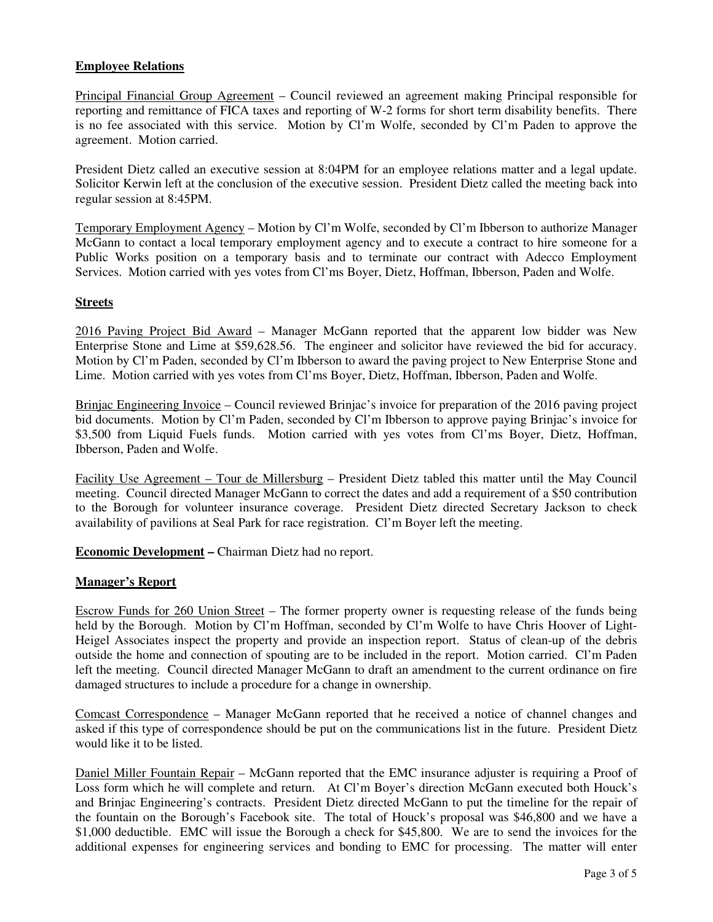#### **Employee Relations**

Principal Financial Group Agreement – Council reviewed an agreement making Principal responsible for reporting and remittance of FICA taxes and reporting of W-2 forms for short term disability benefits. There is no fee associated with this service. Motion by Cl'm Wolfe, seconded by Cl'm Paden to approve the agreement. Motion carried.

President Dietz called an executive session at 8:04PM for an employee relations matter and a legal update. Solicitor Kerwin left at the conclusion of the executive session. President Dietz called the meeting back into regular session at 8:45PM.

Temporary Employment Agency – Motion by Cl'm Wolfe, seconded by Cl'm Ibberson to authorize Manager McGann to contact a local temporary employment agency and to execute a contract to hire someone for a Public Works position on a temporary basis and to terminate our contract with Adecco Employment Services. Motion carried with yes votes from Cl'ms Boyer, Dietz, Hoffman, Ibberson, Paden and Wolfe.

#### **Streets**

2016 Paving Project Bid Award – Manager McGann reported that the apparent low bidder was New Enterprise Stone and Lime at \$59,628.56. The engineer and solicitor have reviewed the bid for accuracy. Motion by Cl'm Paden, seconded by Cl'm Ibberson to award the paving project to New Enterprise Stone and Lime. Motion carried with yes votes from Cl'ms Boyer, Dietz, Hoffman, Ibberson, Paden and Wolfe.

Brinjac Engineering Invoice – Council reviewed Brinjac's invoice for preparation of the 2016 paving project bid documents. Motion by Cl'm Paden, seconded by Cl'm Ibberson to approve paying Brinjac's invoice for \$3,500 from Liquid Fuels funds. Motion carried with yes votes from Cl'ms Boyer, Dietz, Hoffman, Ibberson, Paden and Wolfe.

Facility Use Agreement – Tour de Millersburg – President Dietz tabled this matter until the May Council meeting. Council directed Manager McGann to correct the dates and add a requirement of a \$50 contribution to the Borough for volunteer insurance coverage. President Dietz directed Secretary Jackson to check availability of pavilions at Seal Park for race registration. Cl'm Boyer left the meeting.

**Economic Development –** Chairman Dietz had no report.

#### **Manager's Report**

Escrow Funds for 260 Union Street – The former property owner is requesting release of the funds being held by the Borough. Motion by Cl'm Hoffman, seconded by Cl'm Wolfe to have Chris Hoover of Light-Heigel Associates inspect the property and provide an inspection report. Status of clean-up of the debris outside the home and connection of spouting are to be included in the report. Motion carried. Cl'm Paden left the meeting. Council directed Manager McGann to draft an amendment to the current ordinance on fire damaged structures to include a procedure for a change in ownership.

Comcast Correspondence – Manager McGann reported that he received a notice of channel changes and asked if this type of correspondence should be put on the communications list in the future. President Dietz would like it to be listed.

Daniel Miller Fountain Repair – McGann reported that the EMC insurance adjuster is requiring a Proof of Loss form which he will complete and return. At Cl'm Boyer's direction McGann executed both Houck's and Brinjac Engineering's contracts. President Dietz directed McGann to put the timeline for the repair of the fountain on the Borough's Facebook site. The total of Houck's proposal was \$46,800 and we have a \$1,000 deductible. EMC will issue the Borough a check for \$45,800. We are to send the invoices for the additional expenses for engineering services and bonding to EMC for processing. The matter will enter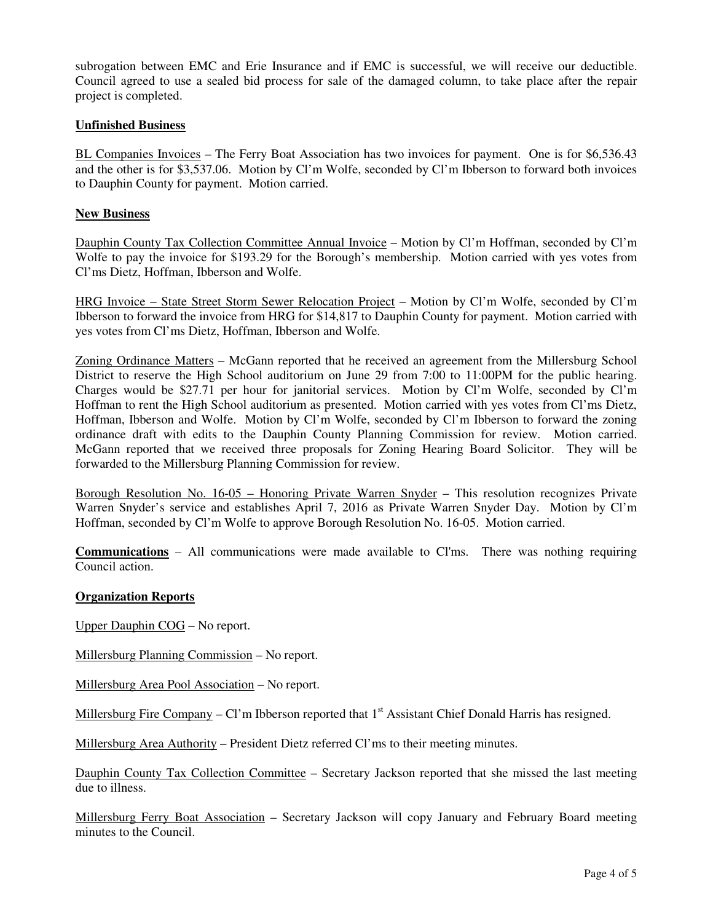subrogation between EMC and Erie Insurance and if EMC is successful, we will receive our deductible. Council agreed to use a sealed bid process for sale of the damaged column, to take place after the repair project is completed.

## **Unfinished Business**

BL Companies Invoices – The Ferry Boat Association has two invoices for payment. One is for \$6,536.43 and the other is for \$3,537.06. Motion by Cl'm Wolfe, seconded by Cl'm Ibberson to forward both invoices to Dauphin County for payment. Motion carried.

#### **New Business**

Dauphin County Tax Collection Committee Annual Invoice – Motion by Cl'm Hoffman, seconded by Cl'm Wolfe to pay the invoice for \$193.29 for the Borough's membership. Motion carried with yes votes from Cl'ms Dietz, Hoffman, Ibberson and Wolfe.

HRG Invoice – State Street Storm Sewer Relocation Project – Motion by Cl'm Wolfe, seconded by Cl'm Ibberson to forward the invoice from HRG for \$14,817 to Dauphin County for payment. Motion carried with yes votes from Cl'ms Dietz, Hoffman, Ibberson and Wolfe.

Zoning Ordinance Matters – McGann reported that he received an agreement from the Millersburg School District to reserve the High School auditorium on June 29 from 7:00 to 11:00PM for the public hearing. Charges would be \$27.71 per hour for janitorial services. Motion by Cl'm Wolfe, seconded by Cl'm Hoffman to rent the High School auditorium as presented. Motion carried with yes votes from Cl'ms Dietz, Hoffman, Ibberson and Wolfe. Motion by Cl'm Wolfe, seconded by Cl'm Ibberson to forward the zoning ordinance draft with edits to the Dauphin County Planning Commission for review. Motion carried. McGann reported that we received three proposals for Zoning Hearing Board Solicitor. They will be forwarded to the Millersburg Planning Commission for review.

Borough Resolution No. 16-05 – Honoring Private Warren Snyder – This resolution recognizes Private Warren Snyder's service and establishes April 7, 2016 as Private Warren Snyder Day. Motion by Cl'm Hoffman, seconded by Cl'm Wolfe to approve Borough Resolution No. 16-05. Motion carried.

**Communications** – All communications were made available to Cl'ms. There was nothing requiring Council action.

#### **Organization Reports**

Upper Dauphin COG – No report.

Millersburg Planning Commission – No report.

Millersburg Area Pool Association – No report.

Millersburg Fire Company – Cl'm Ibberson reported that  $1<sup>st</sup>$  Assistant Chief Donald Harris has resigned.

Millersburg Area Authority – President Dietz referred Cl'ms to their meeting minutes.

Dauphin County Tax Collection Committee – Secretary Jackson reported that she missed the last meeting due to illness.

Millersburg Ferry Boat Association – Secretary Jackson will copy January and February Board meeting minutes to the Council.